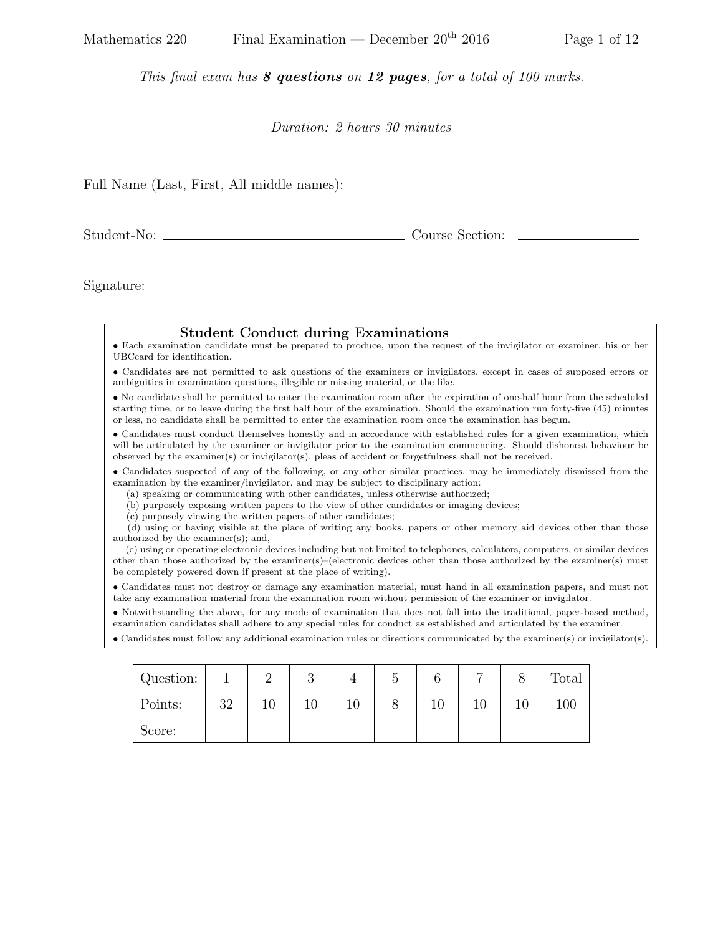## This final exam has 8 questions on 12 pages, for a total of 100 marks.

## Duration: 2 hours 30 minutes

| Full Name (Last, First, All middle names): |                                                                                                                                                                                                                                                                                                                                                                                                                                                                                                                                                                                       |                                                                                                                                                                                                                                                                                                                                                                   |                                            |   |   |                |                 |   |   |   |       |  |
|--------------------------------------------|---------------------------------------------------------------------------------------------------------------------------------------------------------------------------------------------------------------------------------------------------------------------------------------------------------------------------------------------------------------------------------------------------------------------------------------------------------------------------------------------------------------------------------------------------------------------------------------|-------------------------------------------------------------------------------------------------------------------------------------------------------------------------------------------------------------------------------------------------------------------------------------------------------------------------------------------------------------------|--------------------------------------------|---|---|----------------|-----------------|---|---|---|-------|--|
|                                            |                                                                                                                                                                                                                                                                                                                                                                                                                                                                                                                                                                                       |                                                                                                                                                                                                                                                                                                                                                                   |                                            |   |   |                | Course Section: |   |   |   |       |  |
| Signature:                                 |                                                                                                                                                                                                                                                                                                                                                                                                                                                                                                                                                                                       |                                                                                                                                                                                                                                                                                                                                                                   |                                            |   |   |                |                 |   |   |   |       |  |
|                                            |                                                                                                                                                                                                                                                                                                                                                                                                                                                                                                                                                                                       | • Each examination candidate must be prepared to produce, upon the request of the invigilator or examiner, his or her<br>UBCcard for identification.                                                                                                                                                                                                              | <b>Student Conduct during Examinations</b> |   |   |                |                 |   |   |   |       |  |
|                                            | • Candidates are not permitted to ask questions of the examiners or invigilators, except in cases of supposed errors or<br>ambiguities in examination questions, illegible or missing material, or the like.                                                                                                                                                                                                                                                                                                                                                                          |                                                                                                                                                                                                                                                                                                                                                                   |                                            |   |   |                |                 |   |   |   |       |  |
|                                            | • No candidate shall be permitted to enter the examination room after the expiration of one-half hour from the scheduled<br>starting time, or to leave during the first half hour of the examination. Should the examination run forty-five (45) minutes<br>or less, no candidate shall be permitted to enter the examination room once the examination has begun.                                                                                                                                                                                                                    |                                                                                                                                                                                                                                                                                                                                                                   |                                            |   |   |                |                 |   |   |   |       |  |
|                                            | • Candidates must conduct themselves honestly and in accordance with established rules for a given examination, which<br>will be articulated by the examiner or invigilator prior to the examination commencing. Should dishonest behaviour be<br>observed by the examiner(s) or invigilator(s), pleas of accident or forgetfulness shall not be received.                                                                                                                                                                                                                            |                                                                                                                                                                                                                                                                                                                                                                   |                                            |   |   |                |                 |   |   |   |       |  |
|                                            | • Candidates suspected of any of the following, or any other similar practices, may be immediately dismissed from the<br>examination by the examiner/invigilator, and may be subject to disciplinary action:<br>(a) speaking or communicating with other candidates, unless otherwise authorized;<br>(b) purposely exposing written papers to the view of other candidates or imaging devices;<br>(c) purposely viewing the written papers of other candidates;<br>(d) using or having visible at the place of writing any books, papers or other memory aid devices other than those |                                                                                                                                                                                                                                                                                                                                                                   |                                            |   |   |                |                 |   |   |   |       |  |
|                                            |                                                                                                                                                                                                                                                                                                                                                                                                                                                                                                                                                                                       | authorized by the examiner(s); and,<br>(e) using or operating electronic devices including but not limited to telephones, calculators, computers, or similar devices<br>other than those authorized by the examiner(s)–(electronic devices other than those authorized by the examiner(s) must<br>be completely powered down if present at the place of writing). |                                            |   |   |                |                 |   |   |   |       |  |
|                                            | • Candidates must not destroy or damage any examination material, must hand in all examination papers, and must not<br>take any examination material from the examination room without permission of the examiner or invigilator.                                                                                                                                                                                                                                                                                                                                                     |                                                                                                                                                                                                                                                                                                                                                                   |                                            |   |   |                |                 |   |   |   |       |  |
|                                            |                                                                                                                                                                                                                                                                                                                                                                                                                                                                                                                                                                                       | • Notwithstanding the above, for any mode of examination that does not fall into the traditional, paper-based method,<br>examination candidates shall adhere to any special rules for conduct as established and articulated by the examiner.                                                                                                                     |                                            |   |   |                |                 |   |   |   |       |  |
|                                            | • Candidates must follow any additional examination rules or directions communicated by the examiner(s) or invigilator(s).                                                                                                                                                                                                                                                                                                                                                                                                                                                            |                                                                                                                                                                                                                                                                                                                                                                   |                                            |   |   |                |                 |   |   |   |       |  |
|                                            |                                                                                                                                                                                                                                                                                                                                                                                                                                                                                                                                                                                       | Question:                                                                                                                                                                                                                                                                                                                                                         |                                            | 2 | 3 | $\overline{4}$ | $\overline{5}$  | 6 | 7 | 8 | Total |  |

| Question: |    |    | ◡  |              |        |    |    | Total   |
|-----------|----|----|----|--------------|--------|----|----|---------|
| Points:   | 32 | 10 | ΙU | $\cap$<br>ΙU | $10\,$ | ΤÛ | ΙU | $100\,$ |
| Score:    |    |    |    |              |        |    |    |         |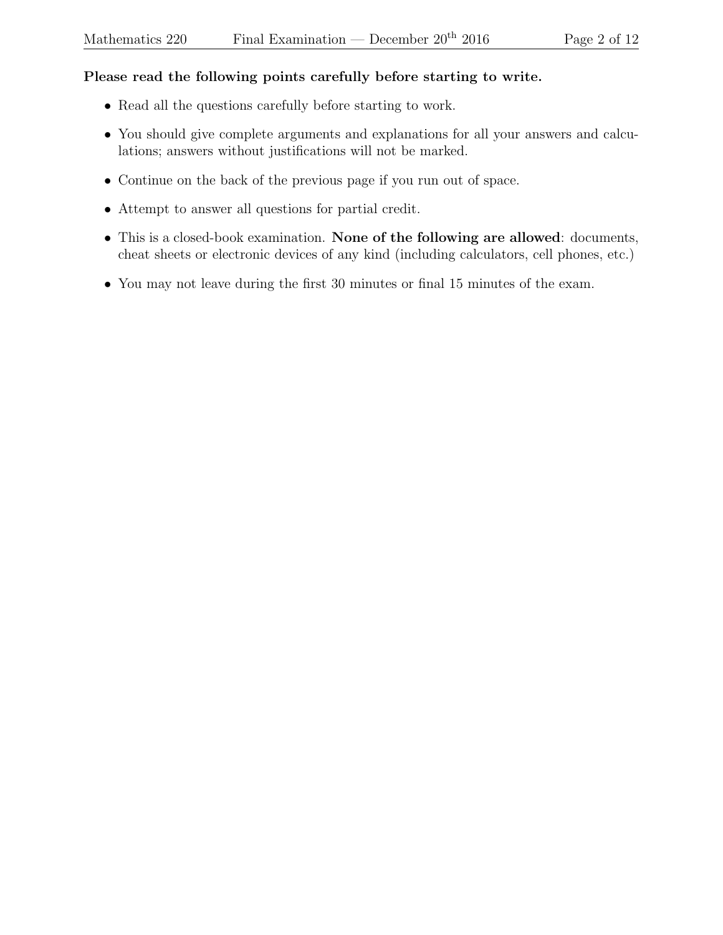## Please read the following points carefully before starting to write.

- Read all the questions carefully before starting to work.
- You should give complete arguments and explanations for all your answers and calculations; answers without justifications will not be marked.
- Continue on the back of the previous page if you run out of space.
- Attempt to answer all questions for partial credit.
- This is a closed-book examination. None of the following are allowed: documents, cheat sheets or electronic devices of any kind (including calculators, cell phones, etc.)
- You may not leave during the first 30 minutes or final 15 minutes of the exam.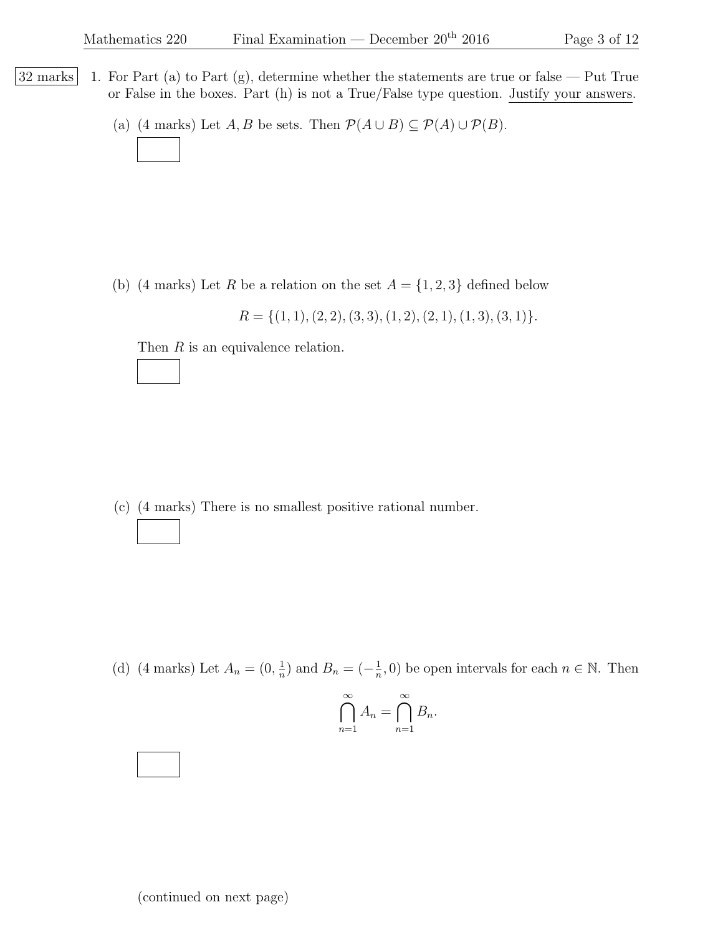- $|32 \text{ marks}|$  1. For Part (a) to Part (g), determine whether the statements are true or false Put True or False in the boxes. Part (h) is not a True/False type question. Justify your answers.
	- (a) (4 marks) Let  $A, B$  be sets. Then  $\mathcal{P}(A \cup B) \subseteq \mathcal{P}(A) \cup \mathcal{P}(B)$ .

(b) (4 marks) Let R be a relation on the set  $A = \{1, 2, 3\}$  defined below

 $R = \{(1, 1), (2, 2), (3, 3), (1, 2), (2, 1), (1, 3), (3, 1)\}.$ 

Then R is an equivalence relation.

(c) (4 marks) There is no smallest positive rational number.

(d) (4 marks) Let  $A_n = (0, \frac{1}{n})$  $\frac{1}{n}$ ) and  $B_n = \left(-\frac{1}{n}\right)$  $(\frac{1}{n}, 0)$  be open intervals for each  $n \in \mathbb{N}$ . Then

$$
\bigcap_{n=1}^{\infty} A_n = \bigcap_{n=1}^{\infty} B_n.
$$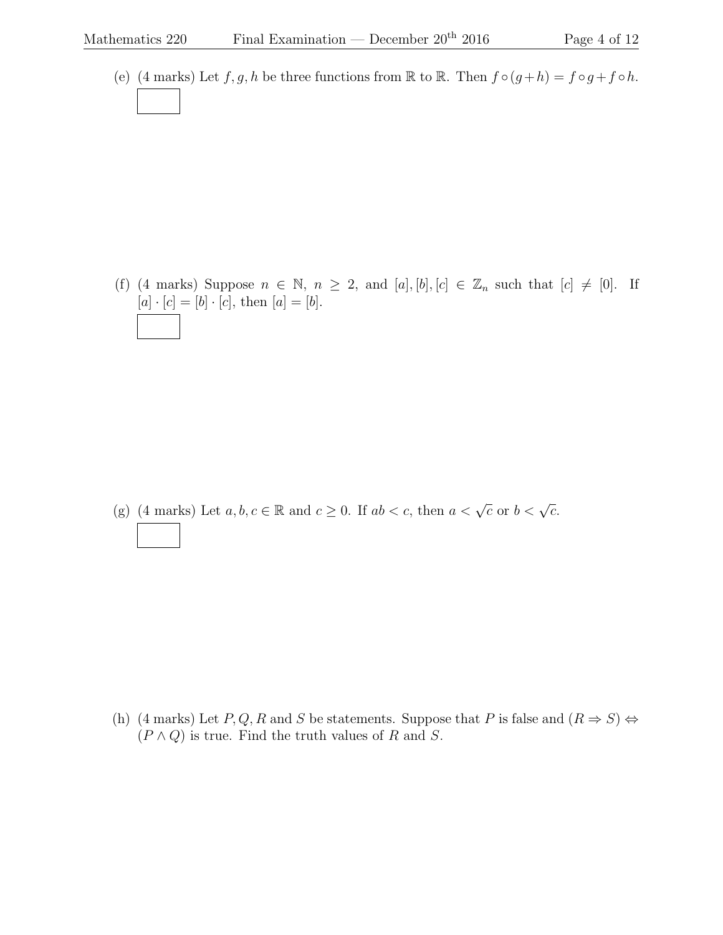(e) (4 marks) Let  $f, g, h$  be three functions from R to R. Then  $f \circ (g + h) = f \circ g + f \circ h$ .

(f) (4 marks) Suppose  $n \in \mathbb{N}$ ,  $n \geq 2$ , and  $[a], [b], [c] \in \mathbb{Z}_n$  such that  $[c] \neq [0]$ . If  $[a] \cdot [c] = [b] \cdot [c],$  then  $[a] = [b].$ 

(g) (4 marks) Let  $a, b, c \in \mathbb{R}$  and  $c \ge 0$ . If  $ab < c$ , then  $a < \sqrt{c}$  or  $b < \sqrt{c}$ .

(h) (4 marks) Let P, Q, R and S be statements. Suppose that P is false and  $(R \Rightarrow S) \Leftrightarrow$  $(P \wedge Q)$  is true. Find the truth values of R and S.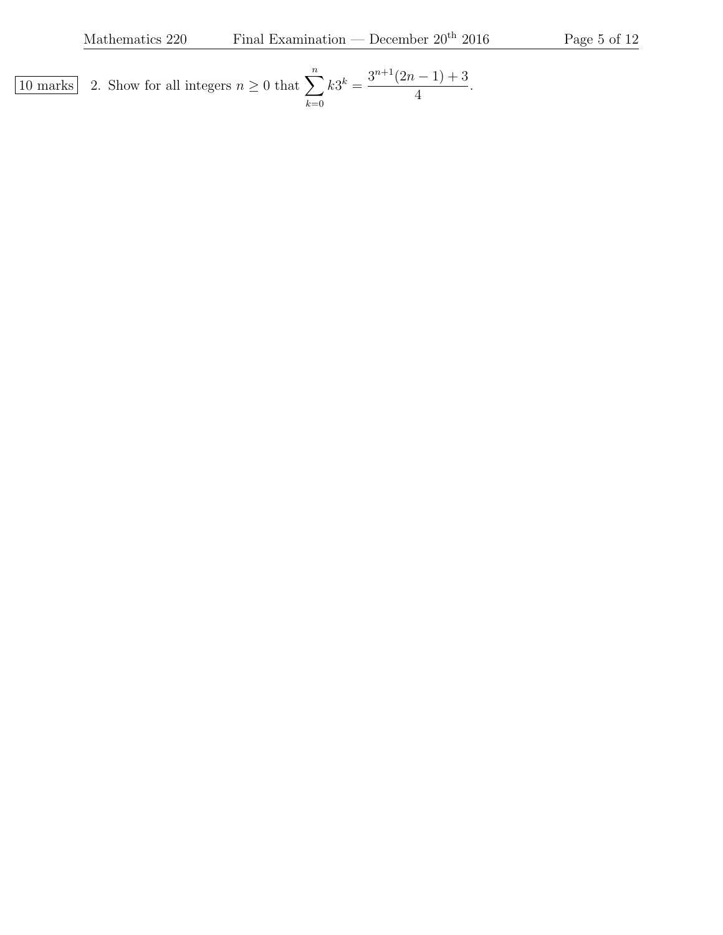10 marks 2. Show for all integers  $n \geq 0$  that  $\sum_{n=1}^n$  $_{k=0}$  $k3^k = \frac{3^{n+1}(2n-1)+3}{4}$ 4 .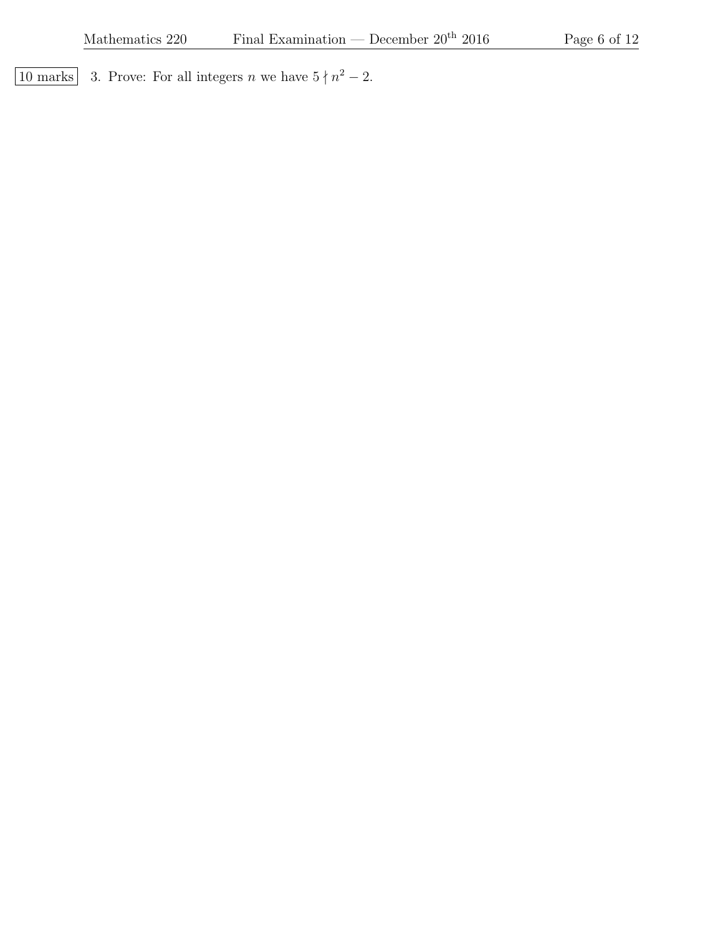10 marks 3. Prove: For all integers *n* we have  $5 \nmid n^2 - 2$ .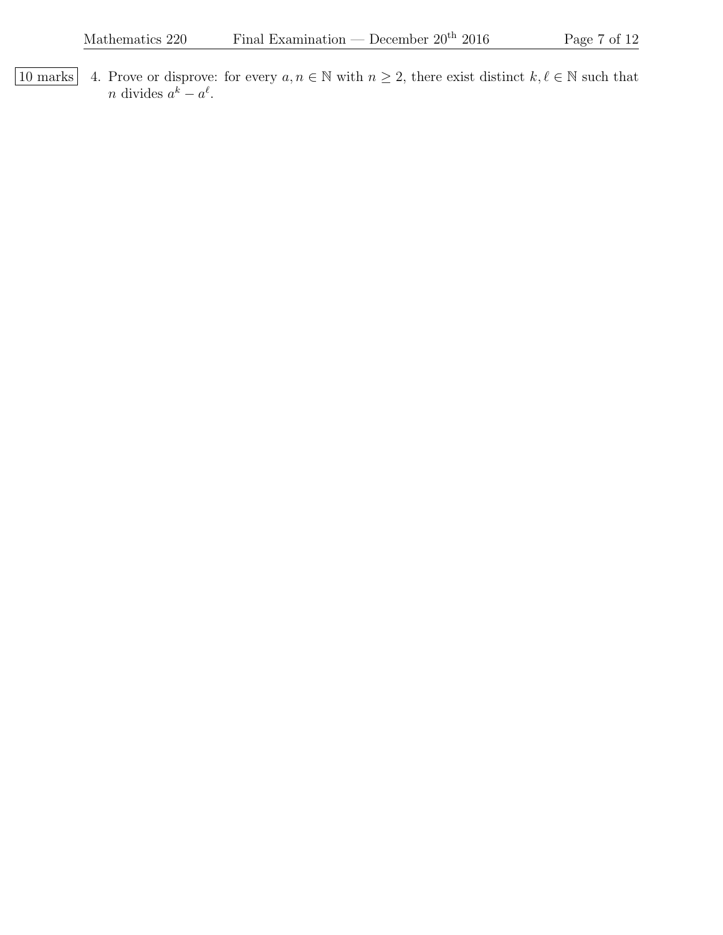10 marks 4. Prove or disprove: for every  $a, n \in \mathbb{N}$  with  $n \geq 2$ , there exist distinct  $k, \ell \in \mathbb{N}$  such that *n* divides  $a^k - a^{\ell}$ .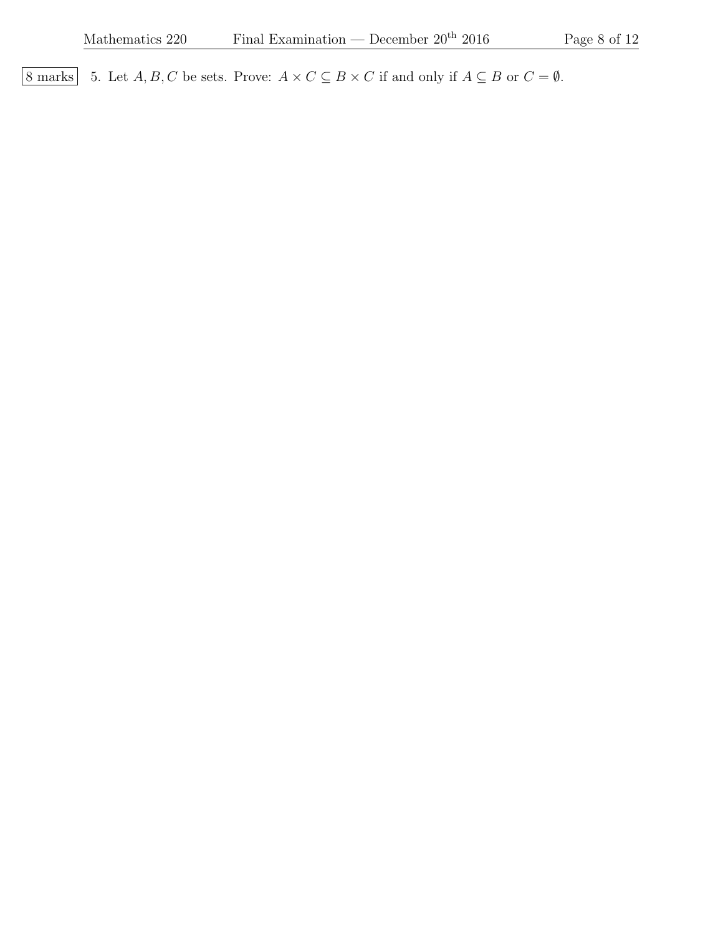8 marks 5. Let  $A, B, C$  be sets. Prove:  $A \times C \subseteq B \times C$  if and only if  $A \subseteq B$  or  $C = \emptyset$ .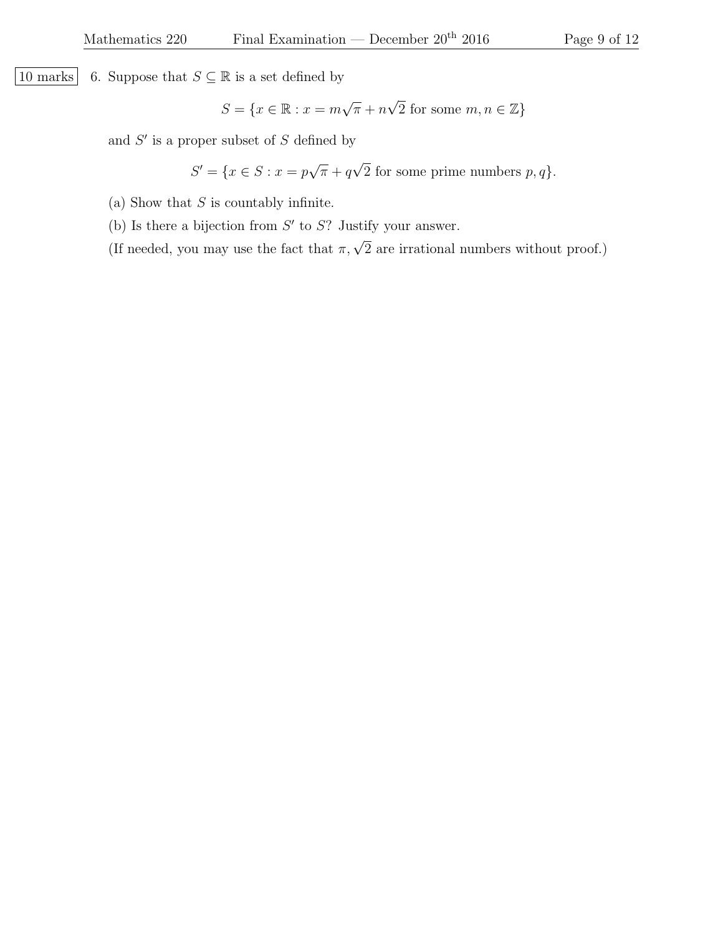10 marks 6. Suppose that  $S \subseteq \mathbb{R}$  is a set defined by

$$
S = \{ x \in \mathbb{R} : x = m\sqrt{\pi} + n\sqrt{2} \text{ for some } m, n \in \mathbb{Z} \}
$$

and  $S'$  is a proper subset of  $S$  defined by

$$
S' = \{ x \in S : x = p\sqrt{\pi} + q\sqrt{2} \text{ for some prime numbers } p, q \}.
$$

- (a) Show that  $S$  is countably infinite.
- (b) Is there a bijection from  $S'$  to  $S$ ? Justify your answer.
- (If needed, you may use the fact that  $\pi, \sqrt{2}$  are irrational numbers without proof.)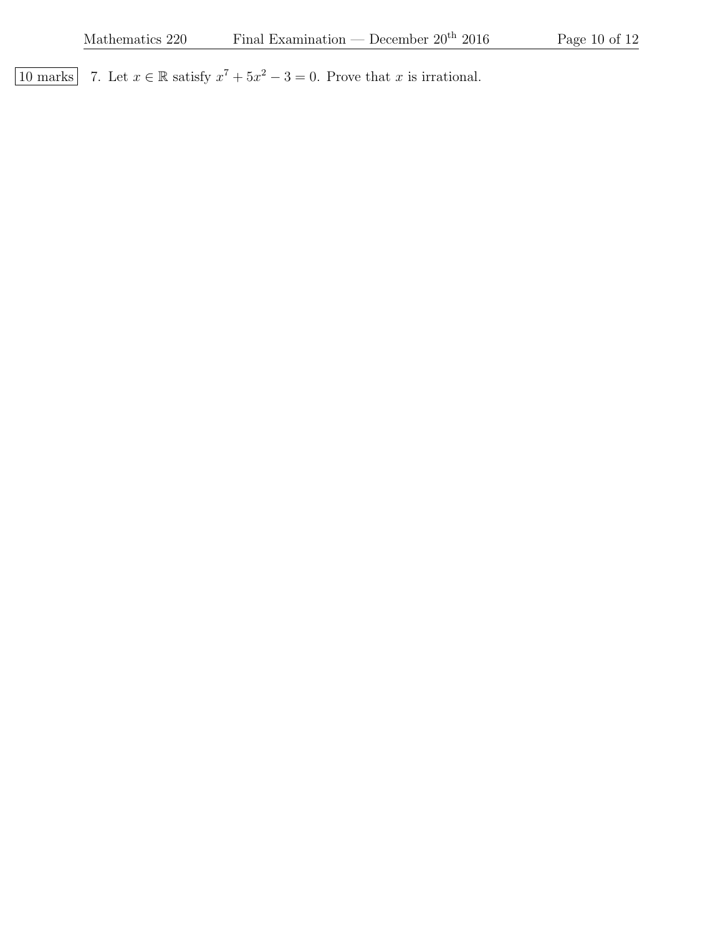10 marks 7. Let  $x \in \mathbb{R}$  satisfy  $x^7 + 5x^2 - 3 = 0$ . Prove that x is irrational.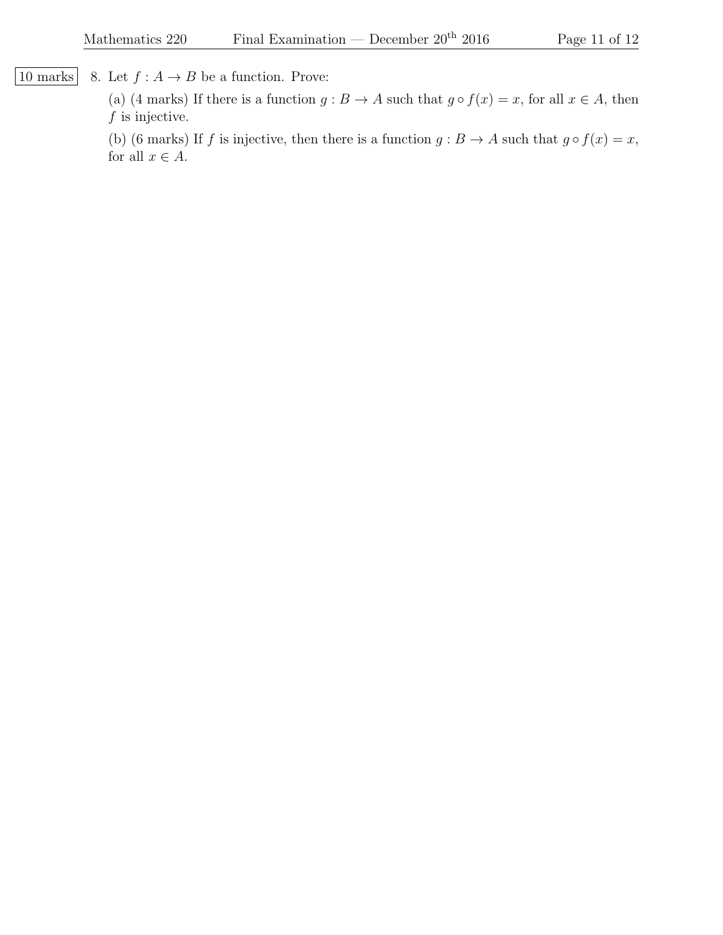[10 marks] 8. Let  $f : A \rightarrow B$  be a function. Prove:

(a) (4 marks) If there is a function  $g : B \to A$  such that  $g \circ f(x) = x$ , for all  $x \in A$ , then  $f$  is injective.

(b) (6 marks) If f is injective, then there is a function  $g : B \to A$  such that  $g \circ f(x) = x$ , for all  $x \in A$ .